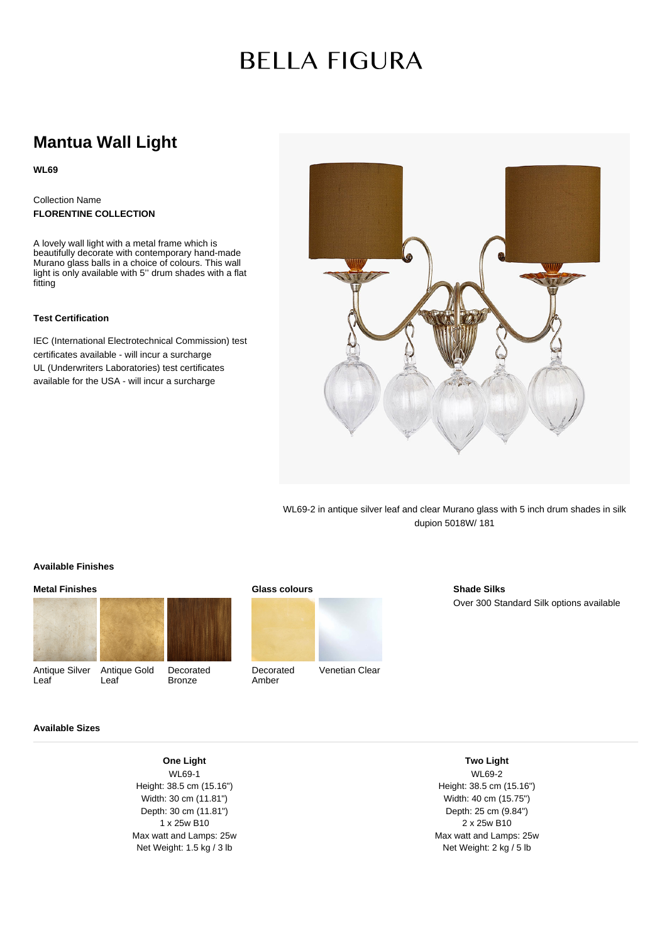## **BELLA FIGURA**

### **Mantua Wall Light**

**WL69**

#### Collection Name **FLORENTINE COLLECTION**

A lovely wall light with a metal frame which is beautifully decorate with contemporary hand-made Murano glass balls in a choice of colours. This wall light is only available with 5'' drum shades with a flat fitting

#### **Test Certification**

IEC (International Electrotechnical Commission) test certificates available - will incur a surcharge UL (Underwriters Laboratories) test certificates available for the USA - will incur a surcharge



WL69-2 in antique silver leaf and clear Murano glass with 5 inch drum shades in silk dupion 5018W/ 181

#### **Available Finishes**

# **Metal Finishes**

Antique Silver Antique Gold Leaf Leaf



**Shade Silks** Over 300 Standard Silk options available

#### **Available Sizes**

#### **One Light** WL69-1 Height: 38.5 cm (15.16") Width: 30 cm (11.81") Depth: 30 cm (11.81") 1 x 25w B10 Max watt and Lamps: 25w Net Weight: 1.5 kg / 3 lb

Bronze

WL69-2 Height: 38.5 cm (15.16") Width: 40 cm (15.75") Depth: 25 cm (9.84") 2 x 25w B10 Max watt and Lamps: 25w Net Weight: 2 kg / 5 lb

**Two Light**